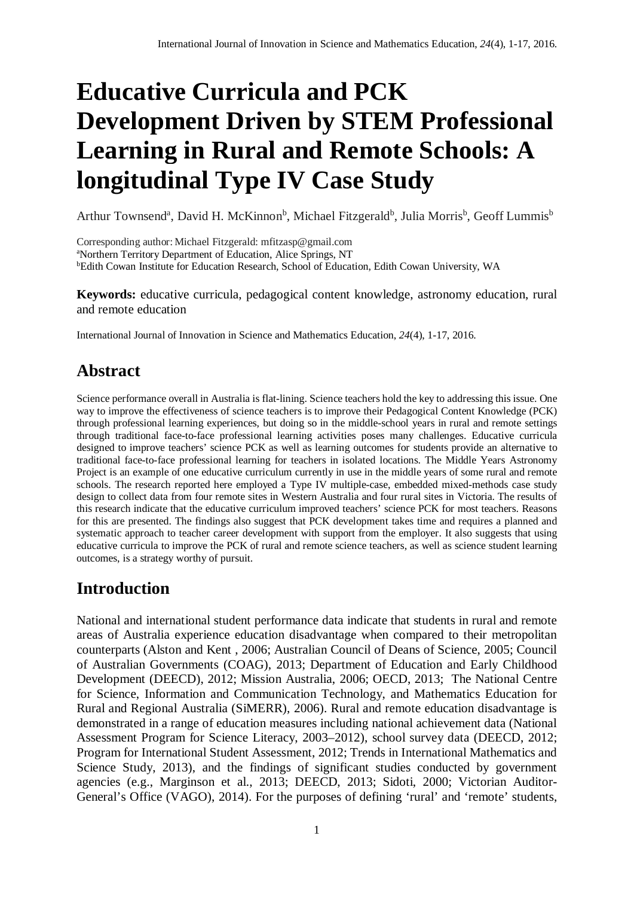# **Educative Curricula and PCK Development Driven by STEM Professional Learning in Rural and Remote Schools: A longitudinal Type IV Case Study**

Arthur Townsend<sup>a</sup>, David H. McKinnon<sup>b</sup>, Michael Fitzgerald<sup>b</sup>, Julia Morris<sup>b</sup>, Geoff Lummis<sup>b</sup>

Corresponding author: Michael Fitzgerald: mfitzasp@gmail.com a Northern Territory Department of Education, Alice Springs, NT b Edith Cowan Institute for Education Research, School of Education, Edith Cowan University, WA

**Keywords:** educative curricula, pedagogical content knowledge, astronomy education, rural and remote education

International Journal of Innovation in Science and Mathematics Education, *24*(4), 1-17, 2016.

# **Abstract**

Science performance overall in Australia is flat-lining. Science teachers hold the key to addressing this issue. One way to improve the effectiveness of science teachers is to improve their Pedagogical Content Knowledge (PCK) through professional learning experiences, but doing so in the middle-school years in rural and remote settings through traditional face-to-face professional learning activities poses many challenges. Educative curricula designed to improve teachers' science PCK as well as learning outcomes for students provide an alternative to traditional face-to-face professional learning for teachers in isolated locations. The Middle Years Astronomy Project is an example of one educative curriculum currently in use in the middle years of some rural and remote schools. The research reported here employed a Type IV multiple-case, embedded mixed-methods case study design to collect data from four remote sites in Western Australia and four rural sites in Victoria. The results of this research indicate that the educative curriculum improved teachers' science PCK for most teachers. Reasons for this are presented. The findings also suggest that PCK development takes time and requires a planned and systematic approach to teacher career development with support from the employer. It also suggests that using educative curricula to improve the PCK of rural and remote science teachers, as well as science student learning outcomes, is a strategy worthy of pursuit.

## **Introduction**

National and international student performance data indicate that students in rural and remote areas of Australia experience education disadvantage when compared to their metropolitan counterparts (Alston and Kent , 2006; Australian Council of Deans of Science, 2005; Council of Australian Governments (COAG), 2013; Department of Education and Early Childhood Development (DEECD), 2012; Mission Australia, 2006; OECD, 2013; The National Centre for Science, Information and Communication Technology, and Mathematics Education for Rural and Regional Australia (SiMERR), 2006). Rural and remote education disadvantage is demonstrated in a range of education measures including national achievement data (National Assessment Program for Science Literacy, 2003–2012), school survey data (DEECD, 2012; Program for International Student Assessment, 2012; Trends in International Mathematics and Science Study, 2013), and the findings of significant studies conducted by government agencies (e.g., Marginson et al., 2013; DEECD, 2013; Sidoti, 2000; Victorian Auditor-General's Office (VAGO), 2014). For the purposes of defining 'rural' and 'remote' students,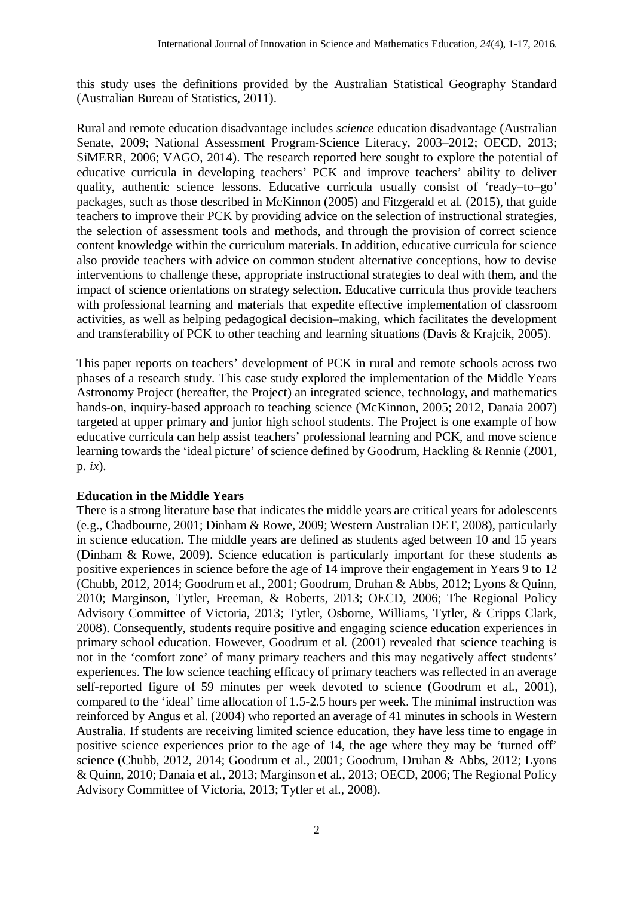this study uses the definitions provided by the Australian Statistical Geography Standard (Australian Bureau of Statistics, 2011).

Rural and remote education disadvantage includes *science* education disadvantage (Australian Senate, 2009; National Assessment Program-Science Literacy, 2003–2012; OECD, 2013; SiMERR, 2006; VAGO, 2014). The research reported here sought to explore the potential of educative curricula in developing teachers' PCK and improve teachers' ability to deliver quality, authentic science lessons. Educative curricula usually consist of 'ready–to–go' packages, such as those described in McKinnon (2005) and Fitzgerald et al. (2015), that guide teachers to improve their PCK by providing advice on the selection of instructional strategies, the selection of assessment tools and methods, and through the provision of correct science content knowledge within the curriculum materials. In addition, educative curricula for science also provide teachers with advice on common student alternative conceptions, how to devise interventions to challenge these, appropriate instructional strategies to deal with them, and the impact of science orientations on strategy selection. Educative curricula thus provide teachers with professional learning and materials that expedite effective implementation of classroom activities, as well as helping pedagogical decision–making, which facilitates the development and transferability of PCK to other teaching and learning situations (Davis & Krajcik, 2005).

This paper reports on teachers' development of PCK in rural and remote schools across two phases of a research study. This case study explored the implementation of the Middle Years Astronomy Project (hereafter, the Project) an integrated science, technology, and mathematics hands-on, inquiry-based approach to teaching science (McKinnon, 2005; 2012, Danaia 2007) targeted at upper primary and junior high school students. The Project is one example of how educative curricula can help assist teachers' professional learning and PCK, and move science learning towards the 'ideal picture' of science defined by Goodrum, Hackling & Rennie (2001, p. *ix*).

### **Education in the Middle Years**

There is a strong literature base that indicates the middle years are critical years for adolescents (e.g., Chadbourne, 2001; Dinham & Rowe, 2009; Western Australian DET, 2008), particularly in science education. The middle years are defined as students aged between 10 and 15 years (Dinham & Rowe, 2009). Science education is particularly important for these students as positive experiences in science before the age of 14 improve their engagement in Years 9 to 12 (Chubb, 2012, 2014; Goodrum et al., 2001; Goodrum, Druhan & Abbs, 2012; Lyons & Quinn, 2010; Marginson, Tytler, Freeman, & Roberts, 2013; OECD, 2006; The Regional Policy Advisory Committee of Victoria, 2013; Tytler, Osborne, Williams, Tytler, & Cripps Clark, 2008). Consequently, students require positive and engaging science education experiences in primary school education. However, Goodrum et al. (2001) revealed that science teaching is not in the 'comfort zone' of many primary teachers and this may negatively affect students' experiences. The low science teaching efficacy of primary teachers was reflected in an average self-reported figure of 59 minutes per week devoted to science (Goodrum et al., 2001), compared to the 'ideal' time allocation of 1.5-2.5 hours per week. The minimal instruction was reinforced by Angus et al. (2004) who reported an average of 41 minutes in schools in Western Australia. If students are receiving limited science education, they have less time to engage in positive science experiences prior to the age of 14, the age where they may be 'turned off' science (Chubb, 2012, 2014; Goodrum et al., 2001; Goodrum, Druhan & Abbs, 2012; Lyons & Quinn, 2010; Danaia et al., 2013; Marginson et al., 2013; OECD, 2006; The Regional Policy Advisory Committee of Victoria, 2013; Tytler et al., 2008).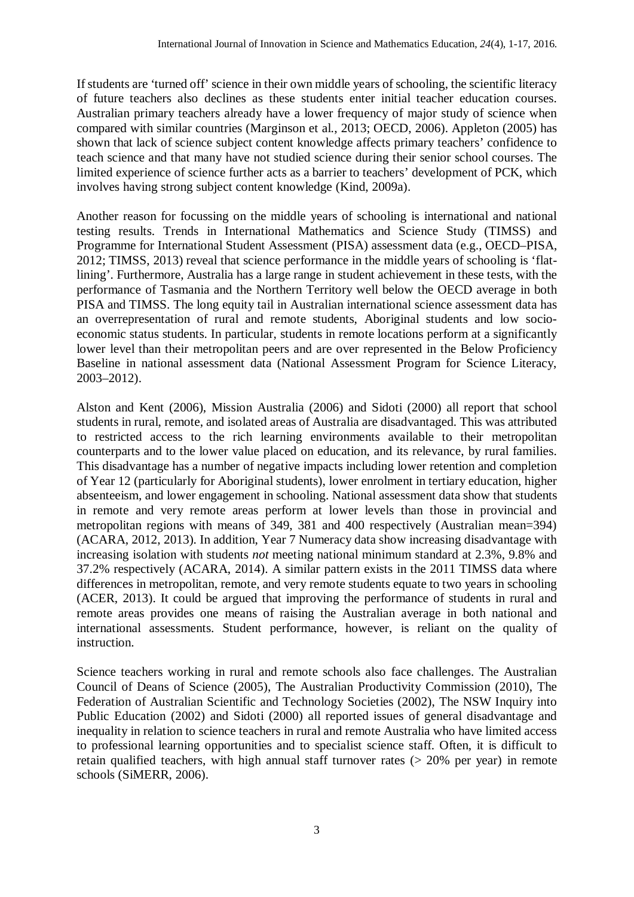If students are 'turned off' science in their own middle years of schooling, the scientific literacy of future teachers also declines as these students enter initial teacher education courses. Australian primary teachers already have a lower frequency of major study of science when compared with similar countries (Marginson et al., 2013; OECD, 2006). Appleton (2005) has shown that lack of science subject content knowledge affects primary teachers' confidence to teach science and that many have not studied science during their senior school courses. The limited experience of science further acts as a barrier to teachers' development of PCK, which involves having strong subject content knowledge (Kind, 2009a).

Another reason for focussing on the middle years of schooling is international and national testing results. Trends in International Mathematics and Science Study (TIMSS) and Programme for International Student Assessment (PISA) assessment data (e.g., OECD–PISA, 2012; TIMSS, 2013) reveal that science performance in the middle years of schooling is 'flatlining'. Furthermore, Australia has a large range in student achievement in these tests, with the performance of Tasmania and the Northern Territory well below the OECD average in both PISA and TIMSS. The long equity tail in Australian international science assessment data has an overrepresentation of rural and remote students, Aboriginal students and low socioeconomic status students. In particular, students in remote locations perform at a significantly lower level than their metropolitan peers and are over represented in the Below Proficiency Baseline in national assessment data (National Assessment Program for Science Literacy, 2003–2012).

Alston and Kent (2006), Mission Australia (2006) and Sidoti (2000) all report that school students in rural, remote, and isolated areas of Australia are disadvantaged. This was attributed to restricted access to the rich learning environments available to their metropolitan counterparts and to the lower value placed on education, and its relevance, by rural families. This disadvantage has a number of negative impacts including lower retention and completion of Year 12 (particularly for Aboriginal students), lower enrolment in tertiary education, higher absenteeism, and lower engagement in schooling. National assessment data show that students in remote and very remote areas perform at lower levels than those in provincial and metropolitan regions with means of 349, 381 and 400 respectively (Australian mean=394) (ACARA, 2012, 2013). In addition, Year 7 Numeracy data show increasing disadvantage with increasing isolation with students *not* meeting national minimum standard at 2.3%, 9.8% and 37.2% respectively (ACARA, 2014). A similar pattern exists in the 2011 TIMSS data where differences in metropolitan, remote, and very remote students equate to two years in schooling (ACER, 2013). It could be argued that improving the performance of students in rural and remote areas provides one means of raising the Australian average in both national and international assessments. Student performance, however, is reliant on the quality of instruction.

Science teachers working in rural and remote schools also face challenges. The Australian Council of Deans of Science (2005), The Australian Productivity Commission (2010), The Federation of Australian Scientific and Technology Societies (2002), The NSW Inquiry into Public Education (2002) and Sidoti (2000) all reported issues of general disadvantage and inequality in relation to science teachers in rural and remote Australia who have limited access to professional learning opportunities and to specialist science staff. Often, it is difficult to retain qualified teachers, with high annual staff turnover rates (> 20% per year) in remote schools (SiMERR, 2006).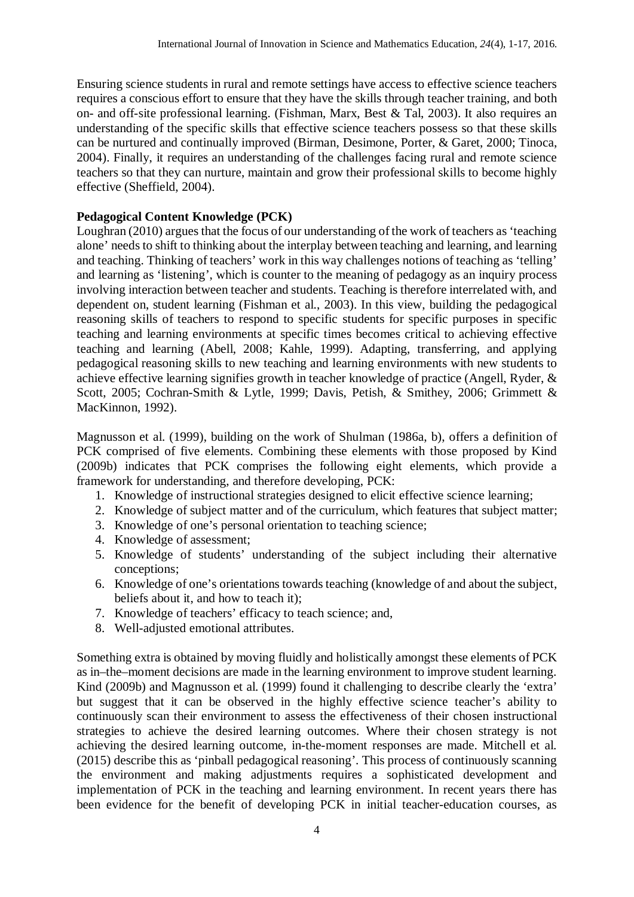Ensuring science students in rural and remote settings have access to effective science teachers requires a conscious effort to ensure that they have the skills through teacher training, and both on- and off-site professional learning. (Fishman, Marx, Best & Tal, 2003). It also requires an understanding of the specific skills that effective science teachers possess so that these skills can be nurtured and continually improved (Birman, Desimone, Porter, & Garet, 2000; Tinoca, 2004). Finally, it requires an understanding of the challenges facing rural and remote science teachers so that they can nurture, maintain and grow their professional skills to become highly effective (Sheffield, 2004).

### **Pedagogical Content Knowledge (PCK)**

Loughran (2010) argues that the focus of our understanding of the work of teachers as 'teaching alone' needs to shift to thinking about the interplay between teaching and learning, and learning and teaching. Thinking of teachers' work in this way challenges notions of teaching as 'telling' and learning as 'listening', which is counter to the meaning of pedagogy as an inquiry process involving interaction between teacher and students. Teaching is therefore interrelated with, and dependent on, student learning (Fishman et al., 2003). In this view, building the pedagogical reasoning skills of teachers to respond to specific students for specific purposes in specific teaching and learning environments at specific times becomes critical to achieving effective teaching and learning (Abell, 2008; Kahle, 1999). Adapting, transferring, and applying pedagogical reasoning skills to new teaching and learning environments with new students to achieve effective learning signifies growth in teacher knowledge of practice (Angell, Ryder, & Scott, 2005; Cochran-Smith & Lytle, 1999; Davis, Petish, & Smithey, 2006; Grimmett & MacKinnon, 1992).

Magnusson et al. (1999), building on the work of Shulman (1986a, b), offers a definition of PCK comprised of five elements. Combining these elements with those proposed by Kind (2009b) indicates that PCK comprises the following eight elements, which provide a framework for understanding, and therefore developing, PCK:

- 1. Knowledge of instructional strategies designed to elicit effective science learning;
- 2. Knowledge of subject matter and of the curriculum, which features that subject matter;
- 3. Knowledge of one's personal orientation to teaching science;
- 4. Knowledge of assessment;
- 5. Knowledge of students' understanding of the subject including their alternative conceptions;
- 6. Knowledge of one's orientations towards teaching (knowledge of and about the subject, beliefs about it, and how to teach it);
- 7. Knowledge of teachers' efficacy to teach science; and,
- 8. Well-adjusted emotional attributes.

Something extra is obtained by moving fluidly and holistically amongst these elements of PCK as in–the–moment decisions are made in the learning environment to improve student learning. Kind (2009b) and Magnusson et al. (1999) found it challenging to describe clearly the 'extra' but suggest that it can be observed in the highly effective science teacher's ability to continuously scan their environment to assess the effectiveness of their chosen instructional strategies to achieve the desired learning outcomes. Where their chosen strategy is not achieving the desired learning outcome, in-the-moment responses are made. Mitchell et al. (2015) describe this as 'pinball pedagogical reasoning'. This process of continuously scanning the environment and making adjustments requires a sophisticated development and implementation of PCK in the teaching and learning environment. In recent years there has been evidence for the benefit of developing PCK in initial teacher-education courses, as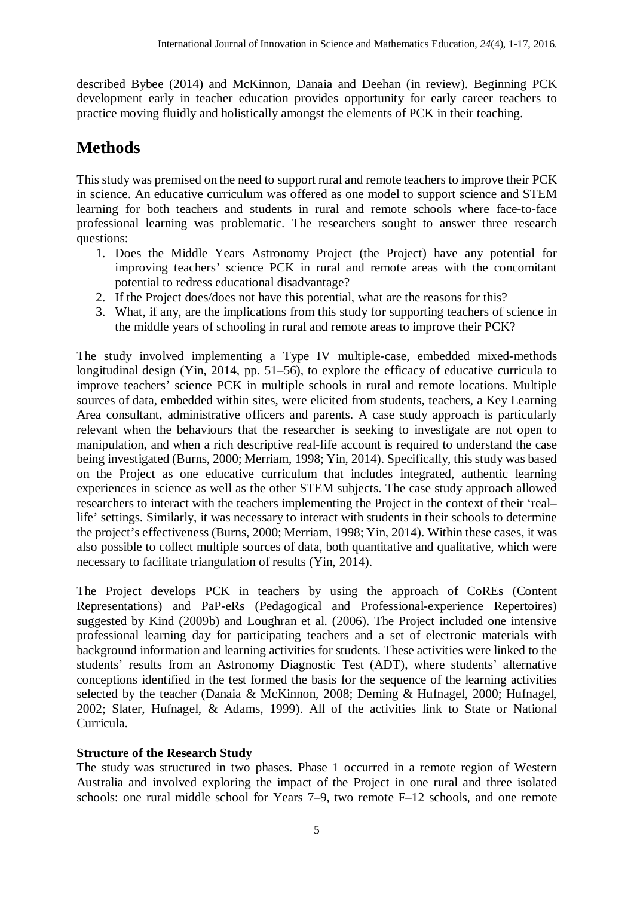described Bybee (2014) and McKinnon, Danaia and Deehan (in review). Beginning PCK development early in teacher education provides opportunity for early career teachers to practice moving fluidly and holistically amongst the elements of PCK in their teaching.

# **Methods**

This study was premised on the need to support rural and remote teachers to improve their PCK in science. An educative curriculum was offered as one model to support science and STEM learning for both teachers and students in rural and remote schools where face-to-face professional learning was problematic. The researchers sought to answer three research questions:

- 1. Does the Middle Years Astronomy Project (the Project) have any potential for improving teachers' science PCK in rural and remote areas with the concomitant potential to redress educational disadvantage?
- 2. If the Project does/does not have this potential, what are the reasons for this?
- 3. What, if any, are the implications from this study for supporting teachers of science in the middle years of schooling in rural and remote areas to improve their PCK?

The study involved implementing a Type IV multiple-case, embedded mixed-methods longitudinal design (Yin, 2014, pp. 51–56), to explore the efficacy of educative curricula to improve teachers' science PCK in multiple schools in rural and remote locations. Multiple sources of data, embedded within sites, were elicited from students, teachers, a Key Learning Area consultant, administrative officers and parents. A case study approach is particularly relevant when the behaviours that the researcher is seeking to investigate are not open to manipulation, and when a rich descriptive real-life account is required to understand the case being investigated (Burns, 2000; Merriam, 1998; Yin, 2014). Specifically, this study was based on the Project as one educative curriculum that includes integrated, authentic learning experiences in science as well as the other STEM subjects. The case study approach allowed researchers to interact with the teachers implementing the Project in the context of their 'real– life' settings. Similarly, it was necessary to interact with students in their schools to determine the project's effectiveness (Burns, 2000; Merriam, 1998; Yin, 2014). Within these cases, it was also possible to collect multiple sources of data, both quantitative and qualitative, which were necessary to facilitate triangulation of results (Yin, 2014).

The Project develops PCK in teachers by using the approach of CoREs (Content Representations) and PaP-eRs (Pedagogical and Professional-experience Repertoires) suggested by Kind (2009b) and Loughran et al. (2006). The Project included one intensive professional learning day for participating teachers and a set of electronic materials with background information and learning activities for students. These activities were linked to the students' results from an Astronomy Diagnostic Test (ADT), where students' alternative conceptions identified in the test formed the basis for the sequence of the learning activities selected by the teacher (Danaia & McKinnon, 2008; Deming & Hufnagel, 2000; Hufnagel, 2002; Slater, Hufnagel, & Adams, 1999). All of the activities link to State or National Curricula.

### **Structure of the Research Study**

The study was structured in two phases. Phase 1 occurred in a remote region of Western Australia and involved exploring the impact of the Project in one rural and three isolated schools: one rural middle school for Years 7–9, two remote F–12 schools, and one remote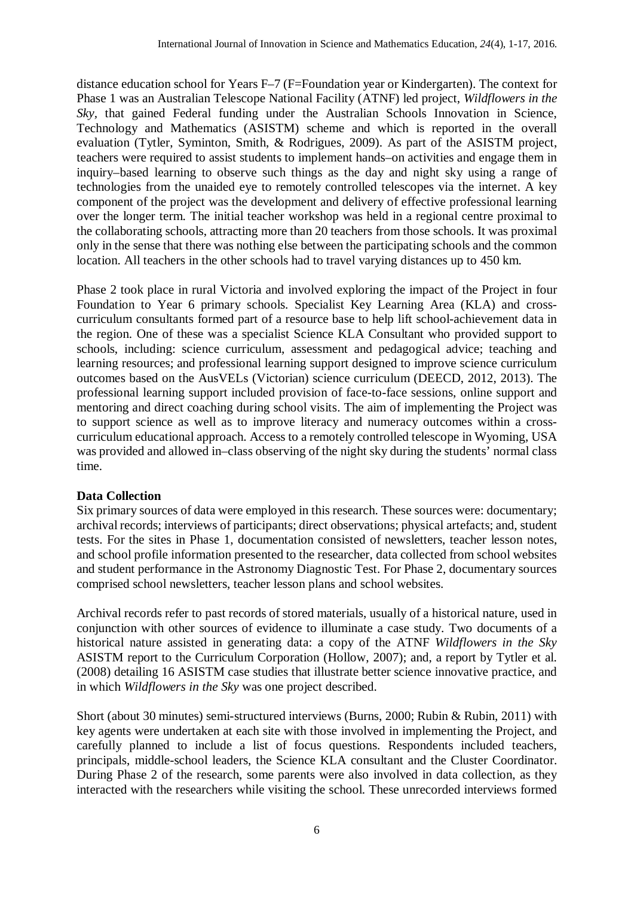distance education school for Years F–7 (F=Foundation year or Kindergarten). The context for Phase 1 was an Australian Telescope National Facility (ATNF) led project, *Wildflowers in the Sky,* that gained Federal funding under the Australian Schools Innovation in Science, Technology and Mathematics (ASISTM) scheme and which is reported in the overall evaluation (Tytler, Syminton, Smith, & Rodrigues, 2009). As part of the ASISTM project, teachers were required to assist students to implement hands–on activities and engage them in inquiry–based learning to observe such things as the day and night sky using a range of technologies from the unaided eye to remotely controlled telescopes via the internet. A key component of the project was the development and delivery of effective professional learning over the longer term. The initial teacher workshop was held in a regional centre proximal to the collaborating schools, attracting more than 20 teachers from those schools. It was proximal only in the sense that there was nothing else between the participating schools and the common location. All teachers in the other schools had to travel varying distances up to 450 km.

Phase 2 took place in rural Victoria and involved exploring the impact of the Project in four Foundation to Year 6 primary schools. Specialist Key Learning Area (KLA) and crosscurriculum consultants formed part of a resource base to help lift school-achievement data in the region. One of these was a specialist Science KLA Consultant who provided support to schools, including: science curriculum, assessment and pedagogical advice; teaching and learning resources; and professional learning support designed to improve science curriculum outcomes based on the AusVELs (Victorian) science curriculum (DEECD, 2012, 2013). The professional learning support included provision of face-to-face sessions, online support and mentoring and direct coaching during school visits. The aim of implementing the Project was to support science as well as to improve literacy and numeracy outcomes within a crosscurriculum educational approach. Access to a remotely controlled telescope in Wyoming, USA was provided and allowed in–class observing of the night sky during the students' normal class time.

### **Data Collection**

Six primary sources of data were employed in this research. These sources were: documentary; archival records; interviews of participants; direct observations; physical artefacts; and, student tests. For the sites in Phase 1, documentation consisted of newsletters, teacher lesson notes, and school profile information presented to the researcher, data collected from school websites and student performance in the Astronomy Diagnostic Test. For Phase 2, documentary sources comprised school newsletters, teacher lesson plans and school websites.

Archival records refer to past records of stored materials, usually of a historical nature, used in conjunction with other sources of evidence to illuminate a case study. Two documents of a historical nature assisted in generating data: a copy of the ATNF *Wildflowers in the Sky* ASISTM report to the Curriculum Corporation (Hollow, 2007); and, a report by Tytler et al. (2008) detailing 16 ASISTM case studies that illustrate better science innovative practice, and in which *Wildflowers in the Sky* was one project described.

Short (about 30 minutes) semi-structured interviews (Burns, 2000; Rubin & Rubin, 2011) with key agents were undertaken at each site with those involved in implementing the Project, and carefully planned to include a list of focus questions. Respondents included teachers, principals, middle-school leaders, the Science KLA consultant and the Cluster Coordinator. During Phase 2 of the research, some parents were also involved in data collection, as they interacted with the researchers while visiting the school. These unrecorded interviews formed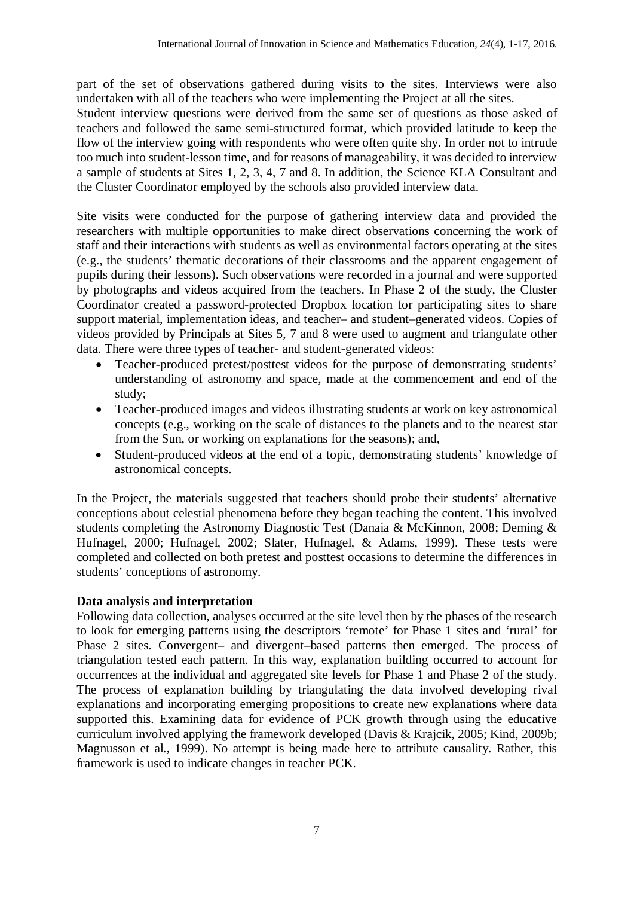part of the set of observations gathered during visits to the sites. Interviews were also undertaken with all of the teachers who were implementing the Project at all the sites.

Student interview questions were derived from the same set of questions as those asked of teachers and followed the same semi-structured format, which provided latitude to keep the flow of the interview going with respondents who were often quite shy. In order not to intrude too much into student-lesson time, and for reasons of manageability, it was decided to interview a sample of students at Sites 1, 2, 3, 4, 7 and 8. In addition, the Science KLA Consultant and the Cluster Coordinator employed by the schools also provided interview data.

Site visits were conducted for the purpose of gathering interview data and provided the researchers with multiple opportunities to make direct observations concerning the work of staff and their interactions with students as well as environmental factors operating at the sites (e.g., the students' thematic decorations of their classrooms and the apparent engagement of pupils during their lessons). Such observations were recorded in a journal and were supported by photographs and videos acquired from the teachers. In Phase 2 of the study, the Cluster Coordinator created a password-protected Dropbox location for participating sites to share support material, implementation ideas, and teacher– and student–generated videos. Copies of videos provided by Principals at Sites 5, 7 and 8 were used to augment and triangulate other data. There were three types of teacher- and student-generated videos:

- Teacher-produced pretest/posttest videos for the purpose of demonstrating students' understanding of astronomy and space, made at the commencement and end of the study;
- Teacher-produced images and videos illustrating students at work on key astronomical concepts (e.g., working on the scale of distances to the planets and to the nearest star from the Sun, or working on explanations for the seasons); and,
- Student-produced videos at the end of a topic, demonstrating students' knowledge of astronomical concepts.

In the Project, the materials suggested that teachers should probe their students' alternative conceptions about celestial phenomena before they began teaching the content. This involved students completing the Astronomy Diagnostic Test (Danaia & McKinnon, 2008; Deming & Hufnagel, 2000; Hufnagel, 2002; Slater, Hufnagel, & Adams, 1999). These tests were completed and collected on both pretest and posttest occasions to determine the differences in students' conceptions of astronomy.

### **Data analysis and interpretation**

Following data collection, analyses occurred at the site level then by the phases of the research to look for emerging patterns using the descriptors 'remote' for Phase 1 sites and 'rural' for Phase 2 sites. Convergent– and divergent–based patterns then emerged. The process of triangulation tested each pattern. In this way, explanation building occurred to account for occurrences at the individual and aggregated site levels for Phase 1 and Phase 2 of the study. The process of explanation building by triangulating the data involved developing rival explanations and incorporating emerging propositions to create new explanations where data supported this. Examining data for evidence of PCK growth through using the educative curriculum involved applying the framework developed (Davis & Krajcik, 2005; Kind, 2009b; Magnusson et al., 1999). No attempt is being made here to attribute causality. Rather, this framework is used to indicate changes in teacher PCK.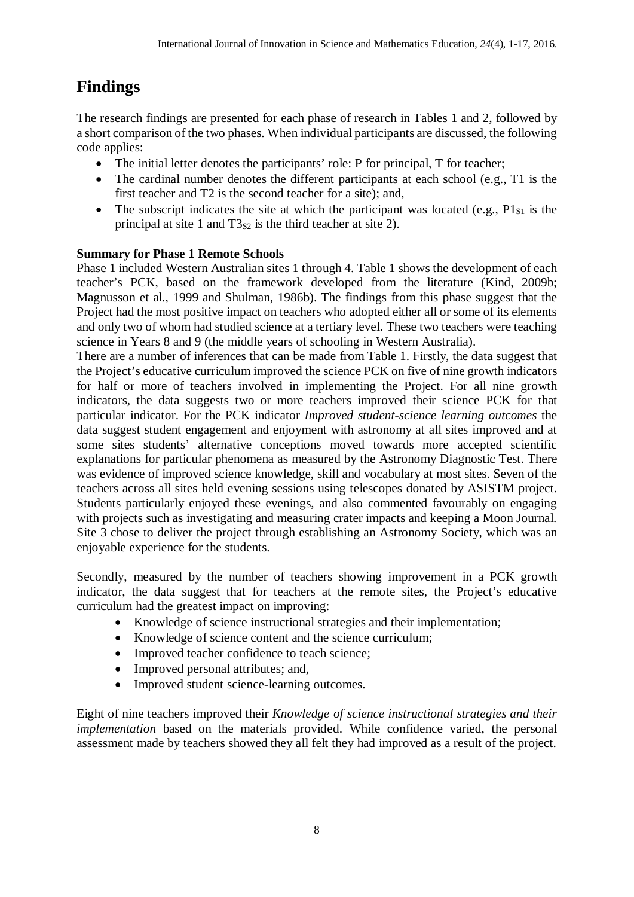# **Findings**

The research findings are presented for each phase of research in Tables 1 and 2, followed by a short comparison of the two phases. When individual participants are discussed, the following code applies:

- The initial letter denotes the participants' role: P for principal, T for teacher;
- The cardinal number denotes the different participants at each school (e.g., T1 is the first teacher and T2 is the second teacher for a site); and,
- The subscript indicates the site at which the participant was located (e.g.,  $P1_{S1}$  is the principal at site 1 and  $T3_{S2}$  is the third teacher at site 2).

### **Summary for Phase 1 Remote Schools**

Phase 1 included Western Australian sites 1 through 4. Table 1 shows the development of each teacher's PCK, based on the framework developed from the literature (Kind, 2009b; Magnusson et al., 1999 and Shulman, 1986b). The findings from this phase suggest that the Project had the most positive impact on teachers who adopted either all or some of its elements and only two of whom had studied science at a tertiary level. These two teachers were teaching science in Years 8 and 9 (the middle years of schooling in Western Australia).

There are a number of inferences that can be made from Table 1. Firstly, the data suggest that the Project's educative curriculum improved the science PCK on five of nine growth indicators for half or more of teachers involved in implementing the Project. For all nine growth indicators, the data suggests two or more teachers improved their science PCK for that particular indicator. For the PCK indicator *Improved student-science learning outcomes* the data suggest student engagement and enjoyment with astronomy at all sites improved and at some sites students' alternative conceptions moved towards more accepted scientific explanations for particular phenomena as measured by the Astronomy Diagnostic Test. There was evidence of improved science knowledge, skill and vocabulary at most sites. Seven of the teachers across all sites held evening sessions using telescopes donated by ASISTM project. Students particularly enjoyed these evenings, and also commented favourably on engaging with projects such as investigating and measuring crater impacts and keeping a Moon Journal. Site 3 chose to deliver the project through establishing an Astronomy Society, which was an enjoyable experience for the students.

Secondly, measured by the number of teachers showing improvement in a PCK growth indicator, the data suggest that for teachers at the remote sites, the Project's educative curriculum had the greatest impact on improving:

- Knowledge of science instructional strategies and their implementation;
- Knowledge of science content and the science curriculum;
- Improved teacher confidence to teach science;
- Improved personal attributes; and,
- Improved student science-learning outcomes.

Eight of nine teachers improved their *Knowledge of science instructional strategies and their implementation* based on the materials provided. While confidence varied, the personal assessment made by teachers showed they all felt they had improved as a result of the project.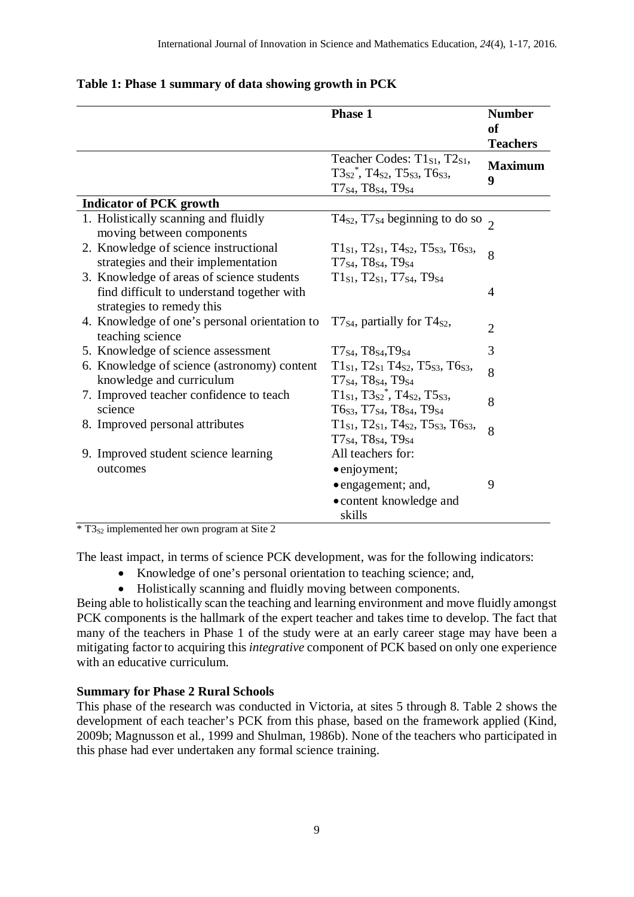|                                                                                                                      | <b>Phase 1</b>                                                                                                                                      | <b>Number</b>                          |
|----------------------------------------------------------------------------------------------------------------------|-----------------------------------------------------------------------------------------------------------------------------------------------------|----------------------------------------|
|                                                                                                                      |                                                                                                                                                     | <sub>of</sub>                          |
|                                                                                                                      | Teacher Codes: T1 <sub>S1</sub> , T2 <sub>S1</sub> ,<br>$T3_{S2}^*$ , T $4_{S2}$ , T $5_{S3}$ , T $6_{S3}$ ,<br>$T7_{S4}$ , T $8_{S4}$ , T $9_{S4}$ | <b>Teachers</b><br><b>Maximum</b><br>9 |
| <b>Indicator of PCK growth</b>                                                                                       |                                                                                                                                                     |                                        |
| 1. Holistically scanning and fluidly<br>moving between components                                                    | T4s2, T7s4 beginning to do so $\frac{1}{2}$                                                                                                         |                                        |
| 2. Knowledge of science instructional<br>strategies and their implementation                                         | $T1_{S1}$ , $T2_{S1}$ , $T4_{S2}$ , $T5_{S3}$ , $T6_{S3}$ ,<br>T7 <sub>S4</sub> , T8 <sub>S4</sub> , T9 <sub>S4</sub>                               | 8                                      |
| 3. Knowledge of areas of science students<br>find difficult to understand together with<br>strategies to remedy this | $T1_{S1}$ , $T2_{S1}$ , $T7_{S4}$ , $T9_{S4}$                                                                                                       | $\overline{4}$                         |
| 4. Knowledge of one's personal orientation to<br>teaching science                                                    | $T7_{S4}$ , partially for $T4_{S2}$ ,                                                                                                               | $\overline{2}$                         |
| 5. Knowledge of science assessment                                                                                   | $T7_{S4}$ , $T8_{S4}$ , $T9_{S4}$                                                                                                                   | 3                                      |
| 6. Knowledge of science (astronomy) content<br>knowledge and curriculum                                              | $T1_{S1}$ , T2 $_{S1}$ T4 $_{S2}$ , T5 $_{S3}$ , T6 $_{S3}$ ,<br>$T7_{S4}$ , T $8_{S4}$ , T $9_{S4}$                                                | 8                                      |
| 7. Improved teacher confidence to teach<br>science                                                                   | $T1_{S1}$ , $T3_{S2}$ <sup>*</sup> , $T4_{S2}$ , $T5_{S3}$ ,<br>T6s3, T7s4, T8s4, T9s4                                                              | 8                                      |
| 8. Improved personal attributes                                                                                      | $T1_{S1}$ , $T2_{S1}$ , $T4_{S2}$ , $T5_{S3}$ , $T6_{S3}$ ,<br>T7 <sub>S4</sub> , T8 <sub>S4</sub> , T9 <sub>S4</sub>                               | 8                                      |
| 9. Improved student science learning<br>outcomes                                                                     | All teachers for:<br>• enjoyment;<br>• engagement; and,                                                                                             | 9                                      |
|                                                                                                                      | • content knowledge and<br>skills                                                                                                                   |                                        |

### **Table 1: Phase 1 summary of data showing growth in PCK**

 $\overline{\text{*}$  T3<sub>S2</sub> implemented her own program at Site 2

The least impact, in terms of science PCK development, was for the following indicators:

- Knowledge of one's personal orientation to teaching science; and,
- Holistically scanning and fluidly moving between components.

Being able to holistically scan the teaching and learning environment and move fluidly amongst PCK components is the hallmark of the expert teacher and takes time to develop. The fact that many of the teachers in Phase 1 of the study were at an early career stage may have been a mitigating factor to acquiring this *integrative* component of PCK based on only one experience with an educative curriculum.

### **Summary for Phase 2 Rural Schools**

This phase of the research was conducted in Victoria, at sites 5 through 8. Table 2 shows the development of each teacher's PCK from this phase, based on the framework applied (Kind, 2009b; Magnusson et al., 1999 and Shulman, 1986b). None of the teachers who participated in this phase had ever undertaken any formal science training.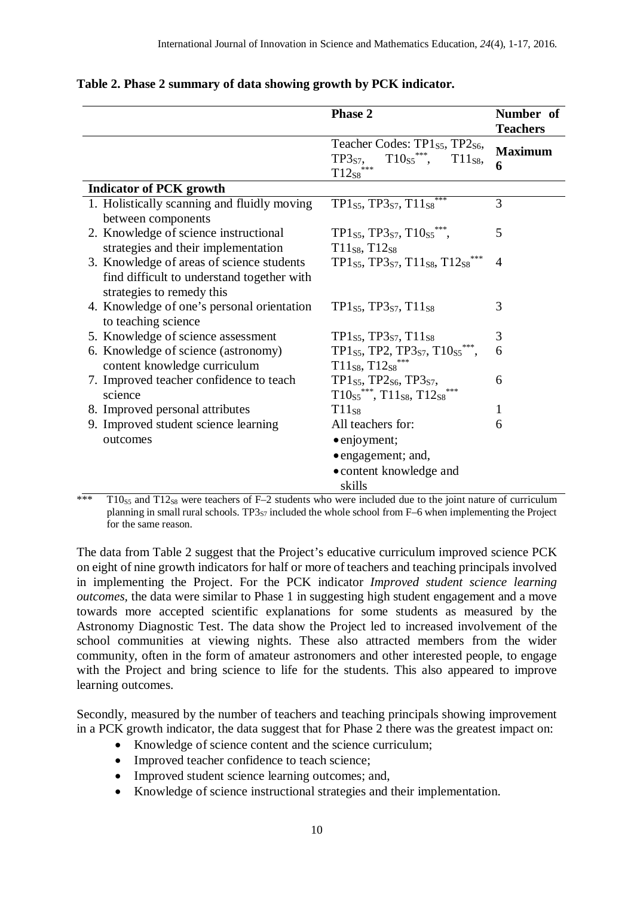|                                             | <b>Phase 2</b>                                                                                  | Number of<br><b>Teachers</b> |
|---------------------------------------------|-------------------------------------------------------------------------------------------------|------------------------------|
|                                             | Teacher Codes: TP1s5, TP2s6,<br>$T10s5$ ***,<br>TP3 <sub>S7</sub> ,<br>$T11_{S8}$<br>$T12_{S8}$ | <b>Maximum</b><br>6          |
| <b>Indicator of PCK growth</b>              |                                                                                                 |                              |
| 1. Holistically scanning and fluidly moving | TP1s5, TP3s7, $T11s8$ ***                                                                       | 3                            |
| between components                          |                                                                                                 |                              |
| 2. Knowledge of science instructional       | TP1s5, TP3s7, T10s5***,                                                                         | 5                            |
| strategies and their implementation         | $T11_{S8}, T12_{S8}$                                                                            |                              |
| 3. Knowledge of areas of science students   | TP1s5, TP3s7, T11ss, T12ss***                                                                   | $\overline{4}$               |
| find difficult to understand together with  |                                                                                                 |                              |
| strategies to remedy this                   |                                                                                                 |                              |
| 4. Knowledge of one's personal orientation  | $TP1_{S5}$ , $TP3_{S7}$ , $T11_{S8}$                                                            | 3                            |
| to teaching science                         |                                                                                                 |                              |
| 5. Knowledge of science assessment          | $TP1_{S5}$ , $TP3_{S7}$ , $T11_{S8}$                                                            | 3                            |
| 6. Knowledge of science (astronomy)         | TP1s5, TP2, TP3s7, T10s5***,                                                                    | 6                            |
| content knowledge curriculum                | $T11_{S8}, T12_{S8}$ ***                                                                        |                              |
| 7. Improved teacher confidence to teach     | TP1 <sub>S5</sub> , TP2 <sub>S6</sub> , TP3 <sub>S7</sub> ,                                     | 6                            |
| science                                     | $T10_{S5}$ ***, $T11_{S8}$ , $T12_{S8}$                                                         |                              |
| 8. Improved personal attributes             | T11ss                                                                                           | 1                            |
| 9. Improved student science learning        | All teachers for:                                                                               | 6                            |
| outcomes                                    | • enjoyment;                                                                                    |                              |
|                                             | • engagement; and,                                                                              |                              |
|                                             | • content knowledge and                                                                         |                              |
|                                             | skills                                                                                          |                              |

#### **Table 2. Phase 2 summary of data showing growth by PCK indicator.**

 $*\times$ <sup>\*\*\*</sup> T10<sub>S5</sub> and T12<sub>S8</sub> were teachers of F–2 students who were included due to the joint nature of curriculum planning in small rural schools. TP3<sub>S7</sub> included the whole school from F–6 when implementing the Project for the same reason.

The data from Table 2 suggest that the Project's educative curriculum improved science PCK on eight of nine growth indicators for half or more of teachers and teaching principals involved in implementing the Project. For the PCK indicator *Improved student science learning outcomes,* the data were similar to Phase 1 in suggesting high student engagement and a move towards more accepted scientific explanations for some students as measured by the Astronomy Diagnostic Test. The data show the Project led to increased involvement of the school communities at viewing nights. These also attracted members from the wider community, often in the form of amateur astronomers and other interested people, to engage with the Project and bring science to life for the students. This also appeared to improve learning outcomes.

Secondly, measured by the number of teachers and teaching principals showing improvement in a PCK growth indicator, the data suggest that for Phase 2 there was the greatest impact on:

- Knowledge of science content and the science curriculum;
- Improved teacher confidence to teach science;
- Improved student science learning outcomes; and,
- Knowledge of science instructional strategies and their implementation.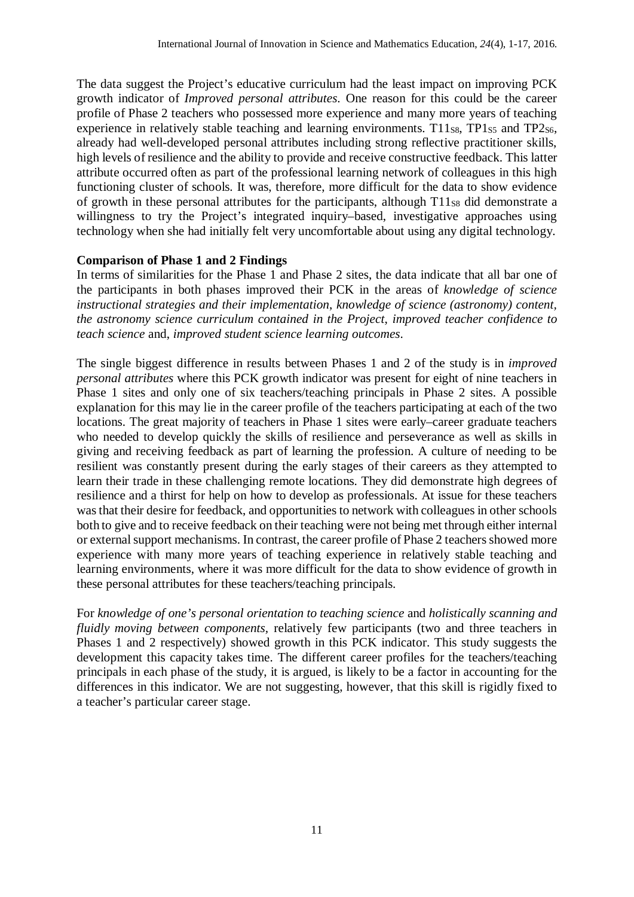The data suggest the Project's educative curriculum had the least impact on improving PCK growth indicator of *Improved personal attributes*. One reason for this could be the career profile of Phase 2 teachers who possessed more experience and many more years of teaching experience in relatively stable teaching and learning environments.  $T11_{S8}$ ,  $TP1_{S5}$  and  $TP2_{S6}$ , already had well-developed personal attributes including strong reflective practitioner skills, high levels of resilience and the ability to provide and receive constructive feedback. This latter attribute occurred often as part of the professional learning network of colleagues in this high functioning cluster of schools. It was, therefore, more difficult for the data to show evidence of growth in these personal attributes for the participants, although  $T11_{S8}$  did demonstrate a willingness to try the Project's integrated inquiry–based, investigative approaches using technology when she had initially felt very uncomfortable about using any digital technology.

### **Comparison of Phase 1 and 2 Findings**

In terms of similarities for the Phase 1 and Phase 2 sites, the data indicate that all bar one of the participants in both phases improved their PCK in the areas of *knowledge of science instructional strategies and their implementation*, *knowledge of science (astronomy) content, the astronomy science curriculum contained in the Project*, *improved teacher confidence to teach science* and, *improved student science learning outcomes*.

The single biggest difference in results between Phases 1 and 2 of the study is in *improved personal attributes* where this PCK growth indicator was present for eight of nine teachers in Phase 1 sites and only one of six teachers/teaching principals in Phase 2 sites. A possible explanation for this may lie in the career profile of the teachers participating at each of the two locations. The great majority of teachers in Phase 1 sites were early–career graduate teachers who needed to develop quickly the skills of resilience and perseverance as well as skills in giving and receiving feedback as part of learning the profession. A culture of needing to be resilient was constantly present during the early stages of their careers as they attempted to learn their trade in these challenging remote locations. They did demonstrate high degrees of resilience and a thirst for help on how to develop as professionals. At issue for these teachers was that their desire for feedback, and opportunities to network with colleagues in other schools both to give and to receive feedback on their teaching were not being met through either internal or external support mechanisms. In contrast, the career profile of Phase 2 teachers showed more experience with many more years of teaching experience in relatively stable teaching and learning environments, where it was more difficult for the data to show evidence of growth in these personal attributes for these teachers/teaching principals.

For *knowledge of one's personal orientation to teaching science* and *holistically scanning and fluidly moving between components,* relatively few participants (two and three teachers in Phases 1 and 2 respectively) showed growth in this PCK indicator. This study suggests the development this capacity takes time. The different career profiles for the teachers/teaching principals in each phase of the study, it is argued, is likely to be a factor in accounting for the differences in this indicator. We are not suggesting, however, that this skill is rigidly fixed to a teacher's particular career stage.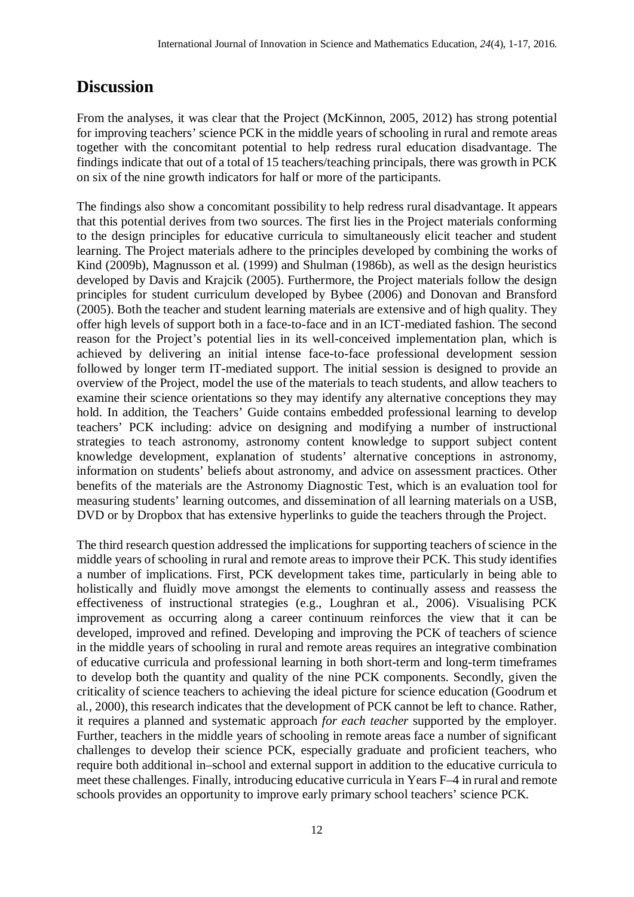### **Discussion**

From the analyses, it was clear that the Project (McKinnon, 2005, 2012) has strong potential for improving teachers' science PCK in the middle years of schooling in rural and remote areas together with the concomitant potential to help redress rural education disadvantage. The findings indicate that out of a total of 15 teachers/teaching principals, there was growth in PCK on six of the nine growth indicators for half or more of the participants.

The findings also show a concomitant possibility to help redress rural disadvantage. It appears that this potential derives from two sources. The first lies in the Project materials conforming to the design principles for educative curricula to simultaneously elicit teacher and student learning. The Project materials adhere to the principles developed by combining the works of Kind (2009b), Magnusson et al. (1999) and Shulman (1986b), as well as the design heuristics developed by Davis and Krajcik (2005). Furthermore, the Project materials follow the design principles for student curriculum developed by Bybee (2006) and Donovan and Bransford (2005). Both the teacher and student learning materials are extensive and of high quality. They offer high levels of support both in a face-to-face and in an ICT-mediated fashion. The second reason for the Project's potential lies in its well-conceived implementation plan, which is achieved by delivering an initial intense face-to-face professional development session followed by longer term IT-mediated support. The initial session is designed to provide an overview of the Project, model the use of the materials to teach students, and allow teachers to examine their science orientations so they may identify any alternative conceptions they may hold. In addition, the Teachers' Guide contains embedded professional learning to develop teachers' PCK including: advice on designing and modifying a number of instructional strategies to teach astronomy, astronomy content knowledge to support subject content knowledge development, explanation of students' alternative conceptions in astronomy, information on students' beliefs about astronomy, and advice on assessment practices. Other benefits of the materials are the Astronomy Diagnostic Test, which is an evaluation tool for measuring students' learning outcomes, and dissemination of all learning materials on a USB, DVD or by Dropbox that has extensive hyperlinks to guide the teachers through the Project.

The third research question addressed the implications for supporting teachers of science in the middle years of schooling in rural and remote areas to improve their PCK. This study identifies a number of implications. First, PCK development takes time, particularly in being able to holistically and fluidly move amongst the elements to continually assess and reassess the effectiveness of instructional strategies (e.g., Loughran et al., 2006). Visualising PCK improvement as occurring along a career continuum reinforces the view that it can be developed, improved and refined. Developing and improving the PCK of teachers of science in the middle years of schooling in rural and remote areas requires an integrative combination of educative curricula and professional learning in both short-term and long-term timeframes to develop both the quantity and quality of the nine PCK components. Secondly, given the criticality of science teachers to achieving the ideal picture for science education (Goodrum et al., 2000), this research indicates that the development of PCK cannot be left to chance. Rather, it requires a planned and systematic approach *for each teacher* supported by the employer. Further, teachers in the middle years of schooling in remote areas face a number of significant challenges to develop their science PCK, especially graduate and proficient teachers, who require both additional in–school and external support in addition to the educative curricula to meet these challenges. Finally, introducing educative curricula in Years F–4 in rural and remote schools provides an opportunity to improve early primary school teachers' science PCK.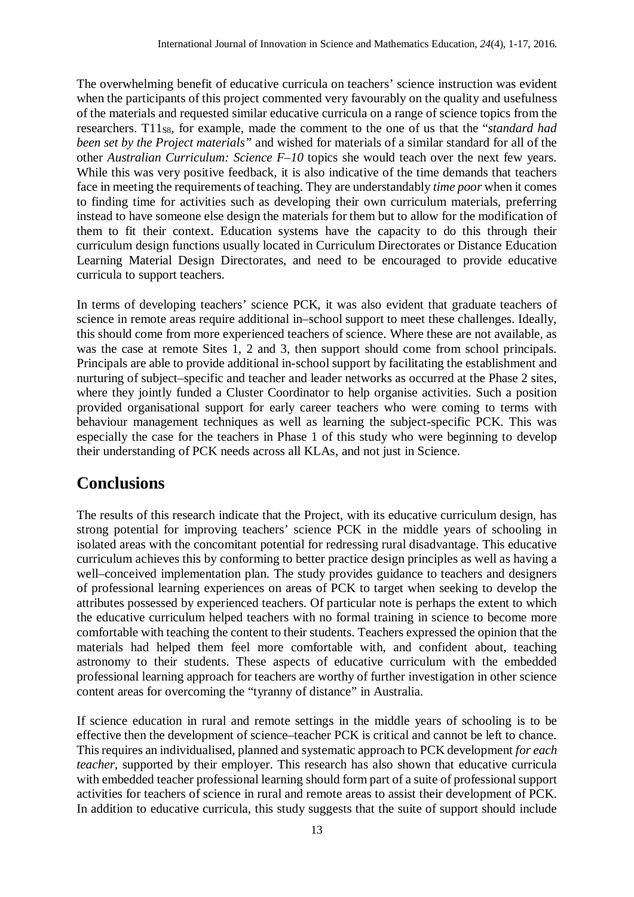The overwhelming benefit of educative curricula on teachers' science instruction was evident when the participants of this project commented very favourably on the quality and usefulness of the materials and requested similar educative curricula on a range of science topics from the researchers. T11<sub>S8</sub>, for example, made the comment to the one of us that the "*standard had been set by the Project materials"* and wished for materials of a similar standard for all of the other *Australian Curriculum: Science F–10* topics she would teach over the next few years. While this was very positive feedback, it is also indicative of the time demands that teachers face in meeting the requirements of teaching. They are understandably *time poor* when it comes to finding time for activities such as developing their own curriculum materials, preferring instead to have someone else design the materials for them but to allow for the modification of them to fit their context. Education systems have the capacity to do this through their curriculum design functions usually located in Curriculum Directorates or Distance Education Learning Material Design Directorates, and need to be encouraged to provide educative curricula to support teachers.

In terms of developing teachers' science PCK, it was also evident that graduate teachers of science in remote areas require additional in–school support to meet these challenges. Ideally, this should come from more experienced teachers of science. Where these are not available, as was the case at remote Sites 1, 2 and 3, then support should come from school principals. Principals are able to provide additional in-school support by facilitating the establishment and nurturing of subject–specific and teacher and leader networks as occurred at the Phase 2 sites, where they jointly funded a Cluster Coordinator to help organise activities. Such a position provided organisational support for early career teachers who were coming to terms with behaviour management techniques as well as learning the subject-specific PCK. This was especially the case for the teachers in Phase 1 of this study who were beginning to develop their understanding of PCK needs across all KLAs, and not just in Science.

### **Conclusions**

The results of this research indicate that the Project, with its educative curriculum design, has strong potential for improving teachers' science PCK in the middle years of schooling in isolated areas with the concomitant potential for redressing rural disadvantage. This educative curriculum achieves this by conforming to better practice design principles as well as having a well–conceived implementation plan. The study provides guidance to teachers and designers of professional learning experiences on areas of PCK to target when seeking to develop the attributes possessed by experienced teachers. Of particular note is perhaps the extent to which the educative curriculum helped teachers with no formal training in science to become more comfortable with teaching the content to their students. Teachers expressed the opinion that the materials had helped them feel more comfortable with, and confident about, teaching astronomy to their students. These aspects of educative curriculum with the embedded professional learning approach for teachers are worthy of further investigation in other science content areas for overcoming the "tyranny of distance" in Australia.

If science education in rural and remote settings in the middle years of schooling is to be effective then the development of science–teacher PCK is critical and cannot be left to chance. This requires an individualised, planned and systematic approach to PCK development *for each teacher*, supported by their employer. This research has also shown that educative curricula with embedded teacher professional learning should form part of a suite of professional support activities for teachers of science in rural and remote areas to assist their development of PCK. In addition to educative curricula, this study suggests that the suite of support should include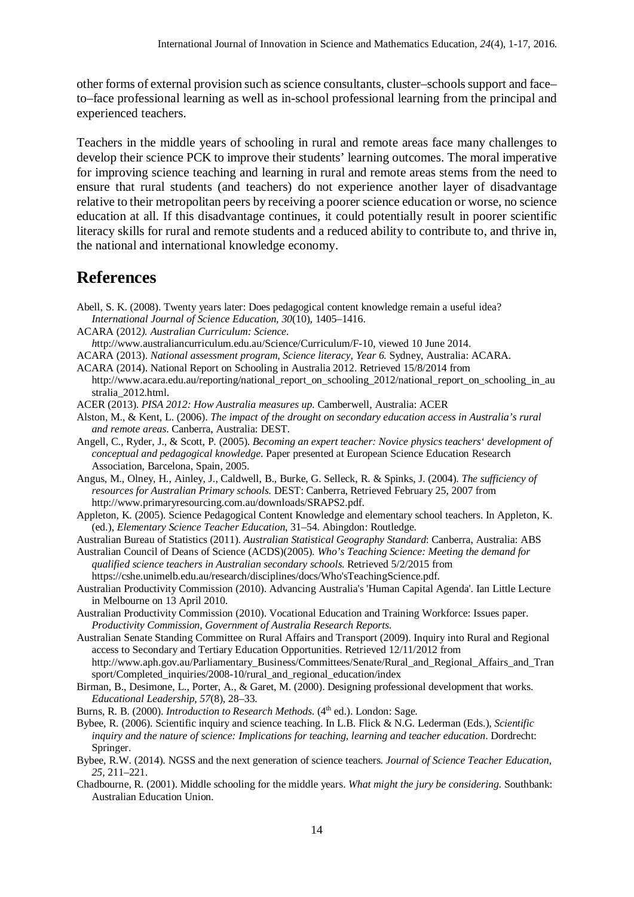other forms of external provision such as science consultants, cluster–schools support and face– to–face professional learning as well as in-school professional learning from the principal and experienced teachers.

Teachers in the middle years of schooling in rural and remote areas face many challenges to develop their science PCK to improve their students' learning outcomes. The moral imperative for improving science teaching and learning in rural and remote areas stems from the need to ensure that rural students (and teachers) do not experience another layer of disadvantage relative to their metropolitan peers by receiving a poorer science education or worse, no science education at all. If this disadvantage continues, it could potentially result in poorer scientific literacy skills for rural and remote students and a reduced ability to contribute to, and thrive in, the national and international knowledge economy.

### **References**

- Abell, S. K. (2008). Twenty years later: Does pedagogical content knowledge remain a useful idea? *International Journal of Science Education, 30*(10), 1405–1416.
- ACARA (2012*). Australian Curriculum: Science.*
- *h*ttp://www.australiancurriculum.edu.au/Science/Curriculum/F-10, viewed 10 June 2014.
- ACARA (2013). *National assessment program, Science literacy, Year 6.* Sydney, Australia: ACARA.
- ACARA (2014). National Report on Schooling in Australia 2012. Retrieved 15/8/2014 from http://www.acara.edu.au/reporting/national\_report\_on\_schooling\_2012/national\_report\_on\_schooling\_in\_au stralia\_2012.html.
- ACER (2013). *PISA 2012: How Australia measures up.* Camberwell, Australia: ACER
- Alston, M., & Kent, L. (2006). *The impact of the drought on secondary education access in Australia's rural and remote areas*. Canberra, Australia: DEST.
- Angell, C., Ryder, J., & Scott, P. (2005). *Becoming an expert teacher: Novice physics teachers' development of conceptual and pedagogical knowledge*. Paper presented at European Science Education Research Association, Barcelona, Spain, 2005.
- Angus, M., Olney, H., Ainley, J., Caldwell, B., Burke, G. Selleck, R. & Spinks, J. (2004). *The sufficiency of resources for Australian Primary schools*. DEST: Canberra, Retrieved February 25, 2007 from http://www.primaryresourcing.com.au/downloads/SRAPS2.pdf.
- Appleton, K. (2005). Science Pedagogical Content Knowledge and elementary school teachers. In Appleton, K. (ed.), *Elementary Science Teacher Education*, 31–54. Abingdon: Routledge.
- Australian Bureau of Statistics (2011). *Australian Statistical Geography Standard*: Canberra, Australia: ABS
- Australian Council of Deans of Science (ACDS)(2005). *Who's Teaching Science: Meeting the demand for qualified science teachers in Australian secondary schools*. Retrieved 5/2/2015 from https://cshe.unimelb.edu.au/research/disciplines/docs/Who'sTeachingScience.pdf.
- Australian Productivity Commission (2010). Advancing Australia's 'Human Capital Agenda'. Ian Little Lecture in Melbourne on 13 April 2010.
- Australian Productivity Commission (2010). Vocational Education and Training Workforce: Issues paper. *Productivity Commission, Government of Australia Research Reports*.
- Australian Senate Standing Committee on Rural Affairs and Transport (2009). Inquiry into Rural and Regional access to Secondary and Tertiary Education Opportunities. Retrieved 12/11/2012 from http://www.aph.gov.au/Parliamentary\_Business/Committees/Senate/Rural\_and\_Regional\_Affairs\_and\_Tran sport/Completed\_inquiries/2008-10/rural\_and\_regional\_education/index
- Birman, B., Desimone, L., Porter, A., & Garet, M. (2000). Designing professional development that works. *Educational Leadership, 57*(8), 28–33.
- Burns, R. B. (2000). *Introduction to Research Methods*. (4<sup>th</sup> ed.). London: Sage.
- Bybee, R. (2006). Scientific inquiry and science teaching. In L.B. Flick & N.G. Lederman (Eds.), *Scientific inquiry and the nature of science: Implications for teaching, learning and teacher education.* Dordrecht: Springer.
- Bybee, R.W. (2014). NGSS and the next generation of science teachers. *Journal of Science Teacher Education, 25,* 211–221.
- Chadbourne, R. (2001). Middle schooling for the middle years. *What might the jury be considering*. Southbank: Australian Education Union*.*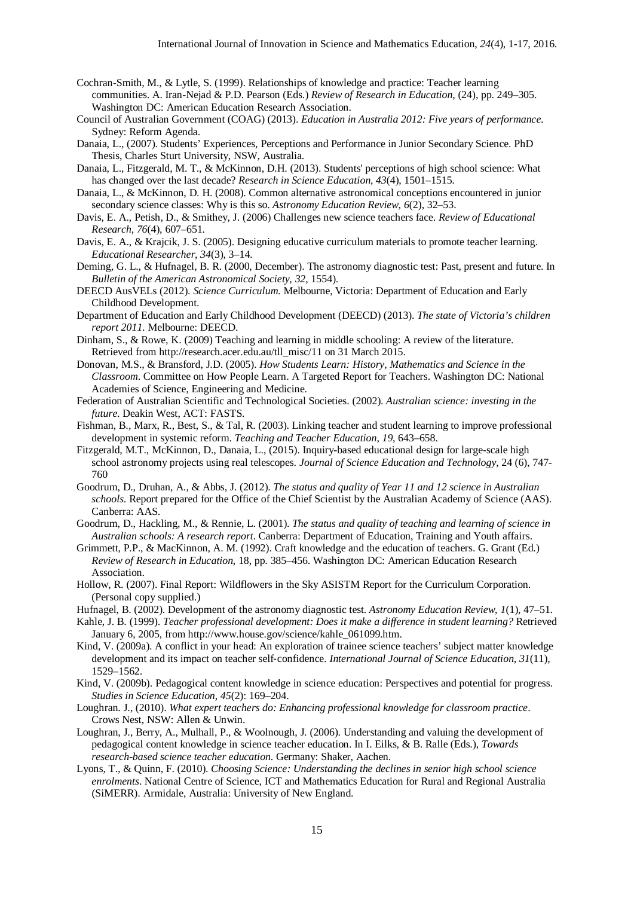- Cochran-Smith, M., & Lytle, S. (1999). Relationships of knowledge and practice: Teacher learning communities. A. Iran-Nejad & P.D. Pearson (Eds.) *Review of Research in Education*, (24), pp. 249–305. Washington DC: American Education Research Association.
- Council of Australian Government (COAG) (2013). *Education in Australia 2012: Five years of performance*. Sydney: Reform Agenda.
- Danaia, L., (2007). Students' Experiences, Perceptions and Performance in Junior Secondary Science. PhD Thesis, Charles Sturt University, NSW, Australia.
- Danaia, L., Fitzgerald, M. T., & McKinnon, D.H. (2013). Students' perceptions of high school science: What has changed over the last decade? *Research in Science Education*, *43*(4), 1501–1515.
- Danaia, L., & McKinnon, D. H. (2008). Common alternative astronomical conceptions encountered in junior secondary science classes: Why is this so. *Astronomy Education Review*, *6*(2), 32–53.
- Davis, E. A., Petish, D., & Smithey, J. (2006) Challenges new science teachers face. *Review of Educational Research, 76*(4), 607–651.
- Davis, E. A., & Krajcik, J. S. (2005). Designing educative curriculum materials to promote teacher learning. *Educational Researcher*, *34*(3), 3–14.
- Deming, G. L., & Hufnagel, B. R. (2000, December). The astronomy diagnostic test: Past, present and future. In *Bulletin of the American Astronomical Society, 32*, 1554).
- DEECD AusVELs (2012). *Science Curriculum*. Melbourne, Victoria: Department of Education and Early Childhood Development.
- Department of Education and Early Childhood Development (DEECD) (2013). *The state of Victoria's children report 2011*. Melbourne: DEECD.
- Dinham, S., & Rowe, K. (2009) Teaching and learning in middle schooling: A review of the literature. Retrieved from http://research.acer.edu.au/tll\_misc/11 on 31 March 2015.
- Donovan, M.S., & Bransford, J.D. (2005). *How Students Learn: History, Mathematics and Science in the Classroom*. Committee on How People Learn. A Targeted Report for Teachers. Washington DC: National Academies of Science, Engineering and Medicine.
- Federation of Australian Scientific and Technological Societies. (2002). *Australian science: investing in the future*. Deakin West, ACT: FASTS.
- Fishman, B., Marx, R., Best, S., & Tal, R. (2003). Linking teacher and student learning to improve professional development in systemic reform. *Teaching and Teacher Education*, *19*, 643–658.
- Fitzgerald, M.T., McKinnon, D., Danaia, L., (2015). Inquiry-based educational design for large-scale high school astronomy projects using real telescopes. *Journal of Science Education and Technology*, 24 (6), 747- 760
- Goodrum, D., Druhan, A., & Abbs, J. (2012). *The status and quality of Year 11 and 12 science in Australian schools*. Report prepared for the Office of the Chief Scientist by the Australian Academy of Science (AAS). Canberra: AAS.
- Goodrum, D., Hackling, M., & Rennie, L. (2001). *The status and quality of teaching and learning of science in Australian schools: A research report*. Canberra: Department of Education, Training and Youth affairs.
- Grimmett, P.P., & MacKinnon, A. M. (1992). Craft knowledge and the education of teachers. G. Grant (Ed.) *Review of Research in Education*, 18, pp. 385–456. Washington DC: American Education Research Association.
- Hollow, R. (2007). Final Report: Wildflowers in the Sky ASISTM Report for the Curriculum Corporation. (Personal copy supplied.)
- Hufnagel, B. (2002). Development of the astronomy diagnostic test. *Astronomy Education Review*, *1*(1), 47–51.
- Kahle, J. B. (1999). *Teacher professional development: Does it make a difference in student learning?* Retrieved January 6, 2005, from http://www.house.gov/science/kahle\_061099.htm.
- Kind, V. (2009a). A conflict in your head: An exploration of trainee science teachers' subject matter knowledge development and its impact on teacher self‐confidence. *International Journal of Science Education*, *31*(11), 1529–1562.
- Kind, V. (2009b). Pedagogical content knowledge in science education: Perspectives and potential for progress. *Studies in Science Education*, *45*(2): 169–204.
- Loughran. J., (2010). *What expert teachers do: Enhancing professional knowledge for classroom practice*. Crows Nest, NSW: Allen & Unwin.
- Loughran, J., Berry, A., Mulhall, P., & Woolnough, J. (2006). Understanding and valuing the development of pedagogical content knowledge in science teacher education. In I. Eilks, & B. Ralle (Eds.), *Towards research-based science teacher education*. Germany: Shaker, Aachen.
- Lyons, T., & Quinn, F. (2010). *Choosing Science: Understanding the declines in senior high school science enrolments*. National Centre of Science, ICT and Mathematics Education for Rural and Regional Australia (SiMERR). Armidale, Australia: University of New England.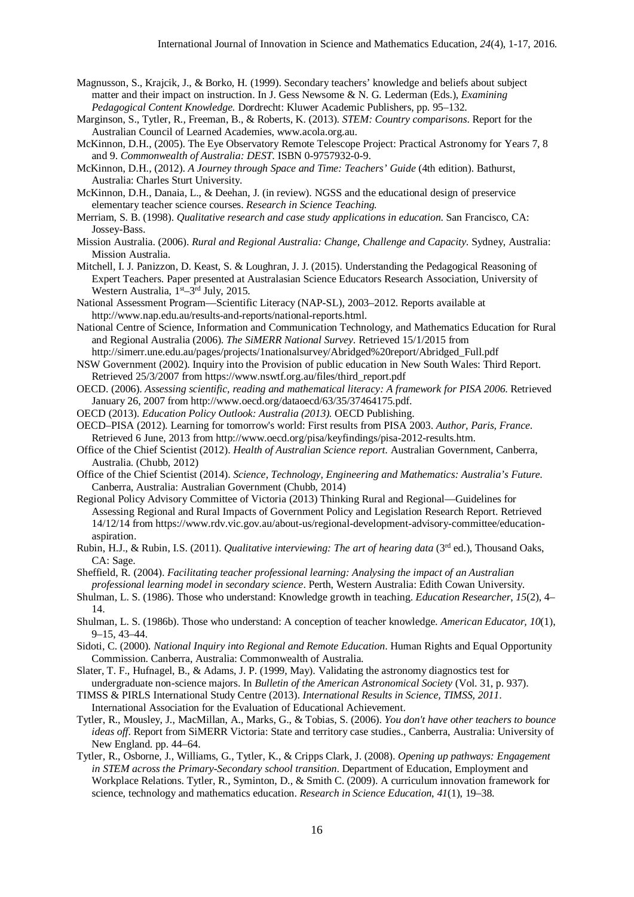- Magnusson, S., Krajcik, J., & Borko, H. (1999). Secondary teachers' knowledge and beliefs about subject matter and their impact on instruction. In J. Gess Newsome & N. G. Lederman (Eds.), *Examining Pedagogical Content Knowledge.* Dordrecht: Kluwer Academic Publishers, pp. 95–132.
- Marginson, S., Tytler, R., Freeman, B., & Roberts, K. (2013). *STEM: Country comparisons*. Report for the Australian Council of Learned Academies, www.acola.org.au.
- McKinnon, D.H., (2005). The Eye Observatory Remote Telescope Project: Practical Astronomy for Years 7, 8 and 9. *Commonwealth of Australia: DEST*. ISBN 0-9757932-0-9.
- McKinnon, D.H., (2012). *A Journey through Space and Time: Teachers' Guide* (4th edition). Bathurst, Australia: Charles Sturt University.
- McKinnon, D.H., Danaia, L., & Deehan, J. (in review). NGSS and the educational design of preservice elementary teacher science courses. *Research in Science Teaching.*
- Merriam, S. B. (1998). *Qualitative research and case study applications in education*. San Francisco, CA: Jossey-Bass.
- Mission Australia. (2006). *Rural and Regional Australia: Change, Challenge and Capacity*. Sydney, Australia: Mission Australia.
- Mitchell, I. J. Panizzon, D. Keast, S. & Loughran, J. J. (2015). Understanding the Pedagogical Reasoning of Expert Teachers. Paper presented at Australasian Science Educators Research Association, University of Western Australia,  $1<sup>st</sup>-3<sup>rd</sup>$  July, 2015.
- National Assessment Program—Scientific Literacy (NAP-SL), 2003–2012. Reports available at http://www.nap.edu.au/results-and-reports/national-reports.html.
- National Centre of Science, Information and Communication Technology, and Mathematics Education for Rural and Regional Australia (2006). *The SiMERR National Survey*. Retrieved 15/1/2015 from
- http://simerr.une.edu.au/pages/projects/1nationalsurvey/Abridged%20report/Abridged\_Full.pdf NSW Government (2002). Inquiry into the Provision of public education in New South Wales: Third Report. Retrieved 25/3/2007 from https://www.nswtf.org.au/files/third\_report.pdf
- OECD. (2006). *Assessing scientific, reading and mathematical literacy: A framework for PISA 2006*. Retrieved January 26, 2007 from http://www.oecd.org/dataoecd/63/35/37464175.pdf.
- OECD (2013). *Education Policy Outlook: Australia (2013).* OECD Publishing.
- OECD–PISA (2012). Learning for tomorrow's world: First results from PISA 2003. *Author, Paris, France*. Retrieved 6 June, 2013 from http://www.oecd.org/pisa/keyfindings/pisa-2012-results.htm.
- Office of the Chief Scientist (2012). *Health of Australian Science report*. Australian Government, Canberra, Australia. (Chubb, 2012)
- Office of the Chief Scientist (2014). *Science, Technology, Engineering and Mathematics: Australia's Future.*  Canberra, Australia: Australian Government (Chubb, 2014)
- Regional Policy Advisory Committee of Victoria (2013) Thinking Rural and Regional—Guidelines for Assessing Regional and Rural Impacts of Government Policy and Legislation Research Report. Retrieved 14/12/14 from https://www.rdv.vic.gov.au/about-us/regional-development-advisory-committee/educationaspiration.
- Rubin, H.J., & Rubin, I.S. (2011). *Qualitative interviewing: The art of hearing data* (3rd ed.), Thousand Oaks, CA: Sage.
- Sheffield, R. (2004). *Facilitating teacher professional learning: Analysing the impact of an Australian professional learning model in secondary science*. Perth, Western Australia: Edith Cowan University.
- Shulman, L. S. (1986). Those who understand: Knowledge growth in teaching. *Education Researcher*, *15*(2), 4– 14.
- Shulman, L. S. (1986b). Those who understand: A conception of teacher knowledge. *American Educator, 10*(1), 9–15, 43–44.
- Sidoti, C. (2000). *National Inquiry into Regional and Remote Education*. Human Rights and Equal Opportunity Commission. Canberra, Australia: Commonwealth of Australia.
- Slater, T. F., Hufnagel, B., & Adams, J. P. (1999, May). Validating the astronomy diagnostics test for undergraduate non-science majors. In *Bulletin of the American Astronomical Society* (Vol. 31, p. 937).
- TIMSS & PIRLS International Study Centre (2013). *International Results in Science, TIMSS, 2011*. International Association for the Evaluation of Educational Achievement.
- Tytler, R., Mousley, J., MacMillan, A., Marks, G., & Tobias, S. (2006). *You don't have other teachers to bounce ideas off*. Report from SiMERR Victoria: State and territory case studies., Canberra, Australia: University of New England. pp. 44–64.
- Tytler, R., Osborne, J., Williams, G., Tytler, K., & Cripps Clark, J. (2008). *Opening up pathways: Engagement in STEM across the Primary-Secondary school transition*. Department of Education, Employment and Workplace Relations. Tytler, R., Syminton, D., & Smith C. (2009). A curriculum innovation framework for science, technology and mathematics education. *Research in Science Education*, *41*(1), 19–38.